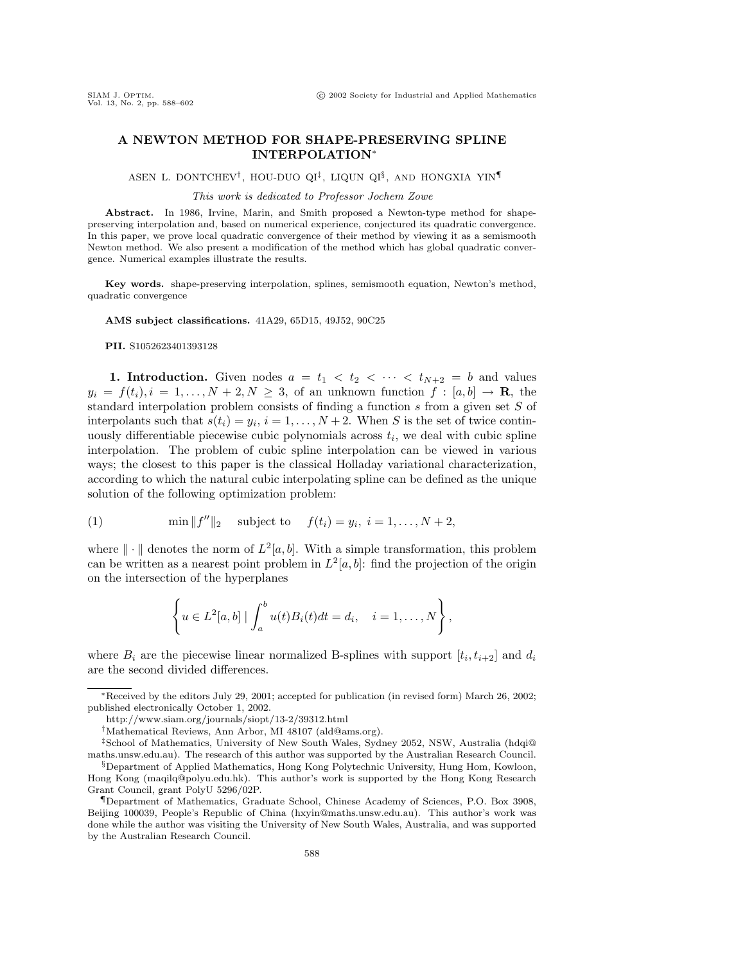## **A NEWTON METHOD FOR SHAPE-PRESERVING SPLINE INTERPOLATION**<sup>∗</sup>

ASEN L. DONTCHEV†, HOU-DUO QI‡, LIQUN QI§, AND HONGXIA YIN¶

This work is dedicated to Professor Jochem Zowe

Abstract. In 1986, Irvine, Marin, and Smith proposed a Newton-type method for shapepreserving interpolation and, basedon numerical experience, conjecturedits quadratic convergence. In this paper, we prove local quadratic convergence of their method by viewing it as a semismooth Newton method. We also present a modification of the method which has global quadratic convergence. Numerical examples illustrate the results.

**Key words.** shape-preserving interpolation, splines, semismooth equation, Newton's method, quadratic convergence

**AMS subject classifications.** 41A29, 65D15, 49J52, 90C25

**PII.** S1052623401393128

**1. Introduction.** Given nodes  $a = t_1 < t_2 < \cdots < t_{N+2} = b$  and values  $y_i = f(t_i), i = 1, \ldots, N + 2, N \geq 3$ , of an unknown function  $f : [a, b] \rightarrow \mathbf{R}$ , the standard interpolation problem consists of finding a function  $s$  from a given set  $S$  of interpolants such that  $s(t_i) = y_i$ ,  $i = 1, ..., N + 2$ . When S is the set of twice continuously differentiable piecewise cubic polynomials across  $t_i$ , we deal with cubic spline interpolation. The problem of cubic spline interpolation can be viewed in various ways; the closest to this paper is the classical Holladay variational characterization, according to which the natural cubic interpolating spline can be defined as the unique solution of the following optimization problem:

(1) 
$$
\min \|f''\|_2
$$
 subject to  $f(t_i) = y_i, i = 1,..., N + 2$ ,

where  $\|\cdot\|$  denotes the norm of  $L^2[a, b]$ . With a simple transformation, this problem can be written as a nearest point problem in  $L^2[a, b]$ : find the projection of the origin on the intersection of the hyperplanes

$$
\left\{u \in L^2[a,b] \mid \int_a^b u(t)B_i(t)dt = d_i, \quad i = 1,\ldots,N\right\},\
$$

where  $B_i$  are the piecewise linear normalized B-splines with support  $[t_i, t_{i+2}]$  and  $d_i$ are the second divided differences.

<sup>\*</sup>Received by the editors July 29, 2001; accepted for publication (in revised form) March 26, 2002; published electronically October 1, 2002.

http://www.siam.org/journals/siopt/13-2/39312.html

<sup>†</sup>Mathematical Reviews, Ann Arbor, MI 48107 (ald@ams.org).

<sup>‡</sup>School of Mathematics, University of New South Wales, Sydney 2052, NSW, Australia (hdqi@ maths.unsw.edu.au). The research of this author was supported by the Australian Research Council.  $\S$ Department of Applied Mathematics, Hong Kong Polytechnic University, Hung Hom, Kowloon, Hong Kong (maqilq@polyu.edu.hk). This author's work is supported by the Hong Kong Research

Grant Council, grant PolyU 5296/02P. ¶Department of Mathematics, Graduate School, Chinese Academy of Sciences, P.O. Box 3908, Beijing 100039, People's Republic of China (hxyin@maths.unsw.edu.au). This author's work was done while the author was visiting the University of New South Wales, Australia, and was supported by the Australian Research Council.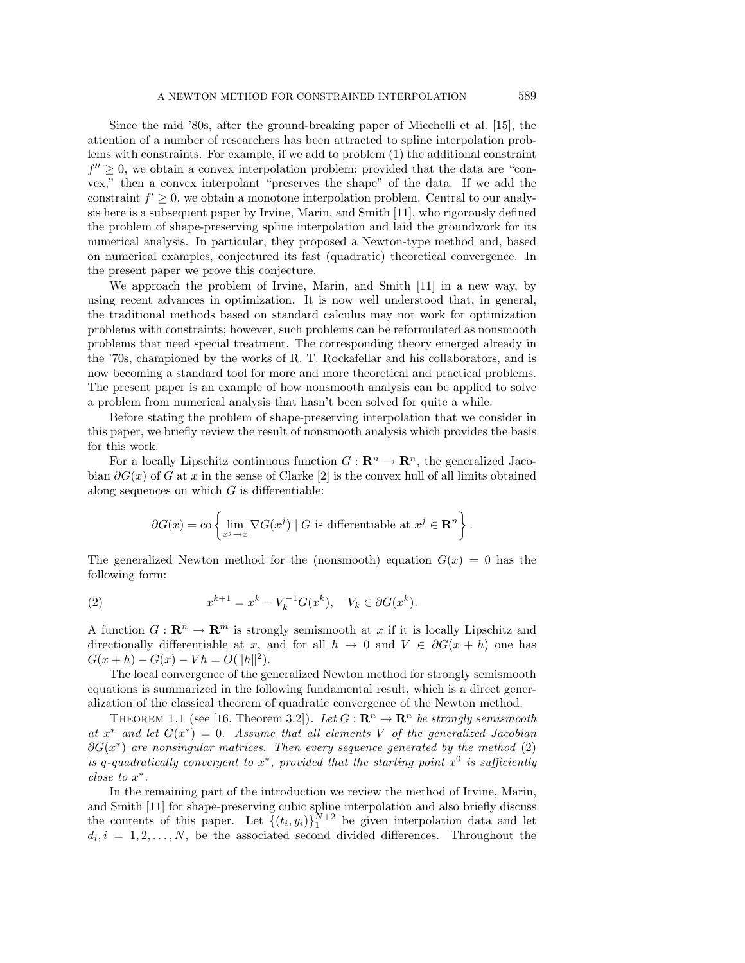Since the mid '80s, after the ground-breaking paper of Micchelli et al. [15], the attention of a number of researchers has been attracted to spline interpolation problems with constraints. For example, if we add to problem (1) the additional constraint  $f'' \geq 0$ , we obtain a convex interpolation problem; provided that the data are "convex," then a convex interpolant "preserves the shape" of the data. If we add the constraint  $f' \geq 0$ , we obtain a monotone interpolation problem. Central to our analysis here is a subsequent paper by Irvine, Marin, and Smith [11], who rigorously defined the problem of shape-preserving spline interpolation and laid the groundwork for its numerical analysis. In particular, they proposed a Newton-type method and, based on numerical examples, conjectured its fast (quadratic) theoretical convergence. In the present paper we prove this conjecture.

We approach the problem of Irvine, Marin, and Smith [11] in a new way, by using recent advances in optimization. It is now well understood that, in general, the traditional methods based on standard calculus may not work for optimization problems with constraints; however, such problems can be reformulated as nonsmooth problems that need special treatment. The corresponding theory emerged already in the '70s, championed by the works of R. T. Rockafellar and his collaborators, and is now becoming a standard tool for more and more theoretical and practical problems. The present paper is an example of how nonsmooth analysis can be applied to solve a problem from numerical analysis that hasn't been solved for quite a while.

Before stating the problem of shape-preserving interpolation that we consider in this paper, we briefly review the result of nonsmooth analysis which provides the basis for this work.

For a locally Lipschitz continuous function  $G: \mathbb{R}^n \to \mathbb{R}^n$ , the generalized Jacobian  $\partial G(x)$  of G at x in the sense of Clarke [2] is the convex hull of all limits obtained along sequences on which  $G$  is differentiable:

$$
\partial G(x) = \text{co}\left\{\lim_{x^j \to x} \nabla G(x^j) \mid G \text{ is differentiable at } x^j \in \mathbf{R}^n\right\}.
$$

The generalized Newton method for the (nonsmooth) equation  $G(x) = 0$  has the following form:

(2) 
$$
x^{k+1} = x^k - V_k^{-1}G(x^k), \quad V_k \in \partial G(x^k).
$$

A function  $G: \mathbb{R}^n \to \mathbb{R}^m$  is strongly semismooth at x if it is locally Lipschitz and directionally differentiable at x, and for all  $h \to 0$  and  $V \in \partial G(x+h)$  one has  $G(x+h) - G(x) - Vh = O(||h||^2).$ 

The local convergence of the generalized Newton method for strongly semismooth equations is summarized in the following fundamental result, which is a direct generalization of the classical theoremof quadratic convergence of the Newton method.

THEOREM 1.1 (see [16, Theorem 3.2]). Let  $G: \mathbb{R}^n \to \mathbb{R}^n$  be strongly semismooth at  $x^*$  and let  $G(x^*) = 0$ . Assume that all elements V of the generalized Jacobian  $\partial G(x^*)$  are nonsingular matrices. Then every sequence generated by the method (2) is q-quadratically convergent to  $x^*$ , provided that the starting point  $x^0$  is sufficiently close to x∗.

In the remaining part of the introduction we review the method of Irvine, Marin, and Smith [11] for shape-preserving cubic spline interpolation and also briefly discuss the contents of this paper. Let  $\{(t_i, y_i)\}_1^{N+2}$  be given interpolation data and let  $d_i, i = 1, 2, \ldots, N$ , be the associated second divided differences. Throughout the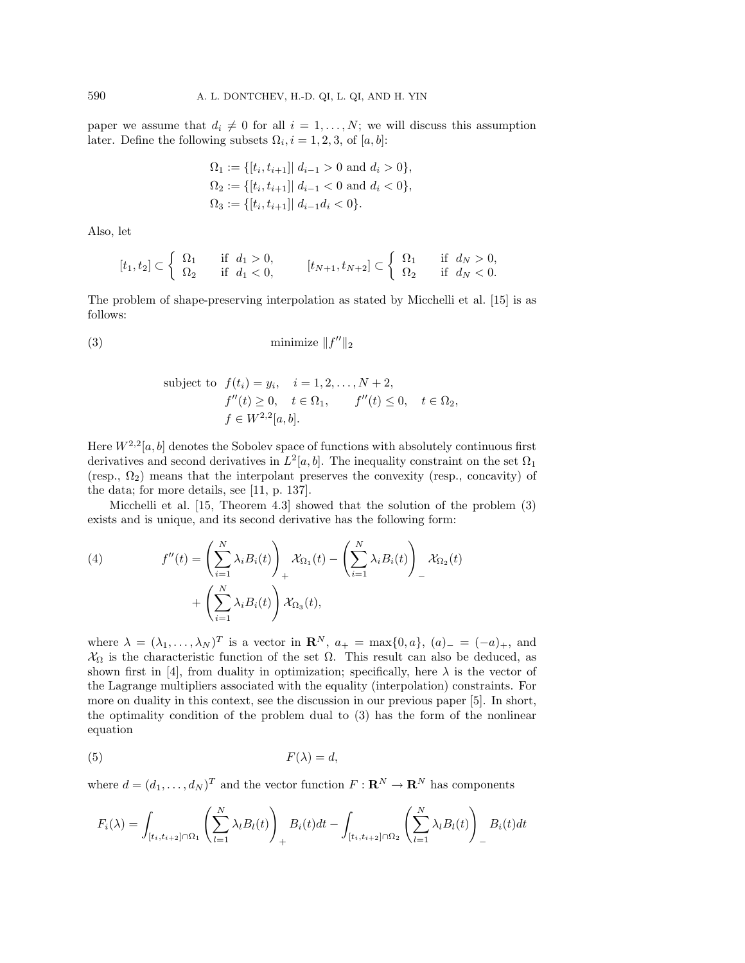paper we assume that  $d_i \neq 0$  for all  $i = 1, \ldots, N$ ; we will discuss this assumption later. Define the following subsets  $\Omega_i$ ,  $i = 1, 2, 3$ , of  $[a, b]$ :

$$
\Omega_1 := \{ [t_i, t_{i+1}] | d_{i-1} > 0 \text{ and } d_i > 0 \},
$$
  
\n
$$
\Omega_2 := \{ [t_i, t_{i+1}] | d_{i-1} < 0 \text{ and } d_i < 0 \},
$$
  
\n
$$
\Omega_3 := \{ [t_i, t_{i+1}] | d_{i-1} d_i < 0 \}.
$$

Also, let

$$
[t_1, t_2] \subset \left\{ \begin{array}{ll} \Omega_1 & \text{if} \quad d_1 > 0, \\ \Omega_2 & \text{if} \quad d_1 < 0, \end{array} \right. \qquad [t_{N+1}, t_{N+2}] \subset \left\{ \begin{array}{ll} \Omega_1 & \text{if} \quad d_N > 0, \\ \Omega_2 & \text{if} \quad d_N < 0. \end{array} \right.
$$

The problem of shape-preserving interpolation as stated by Micchelli et al. [15] is as follows:

$$
(3) \tminimize \|f''\|_2
$$

subject to 
$$
f(t_i) = y_i
$$
,  $i = 1, 2, ..., N + 2$ ,  
\n $f''(t) \ge 0$ ,  $t \in \Omega_1$ ,  $f''(t) \le 0$ ,  $t \in \Omega_2$ ,  
\n $f \in W^{2,2}[a, b]$ .

Here  $W^{2,2}[a, b]$  denotes the Sobolev space of functions with absolutely continuous first derivatives and second derivatives in  $L^2[a, b]$ . The inequality constraint on the set  $\Omega_1$ (resp.,  $\Omega_2$ ) means that the interpolant preserves the convexity (resp., concavity) of the data; for more details, see [11, p. 137].

Micchelli et al.  $[15,$  Theorem 4.3] showed that the solution of the problem  $(3)$ exists and is unique, and its second derivative has the following form:

(4) 
$$
f''(t) = \left(\sum_{i=1}^{N} \lambda_i B_i(t)\right)_+ \mathcal{X}_{\Omega_1}(t) - \left(\sum_{i=1}^{N} \lambda_i B_i(t)\right)_- \mathcal{X}_{\Omega_2}(t) + \left(\sum_{i=1}^{N} \lambda_i B_i(t)\right) \mathcal{X}_{\Omega_3}(t),
$$

where  $\lambda = (\lambda_1, \ldots, \lambda_N)^T$  is a vector in  $\mathbb{R}^N$ ,  $a_+ = \max\{0, a\}$ ,  $(a)_- = (-a)_+$ , and  $\mathcal{X}_{\Omega}$  is the characteristic function of the set  $\Omega$ . This result can also be deduced, as shown first in [4], from duality in optimization; specifically, here  $\lambda$  is the vector of the Lagrange multipliers associated with the equality (interpolation) constraints. For more on duality in this context, see the discussion in our previous paper [5]. In short, the optimality condition of the problem dual to  $(3)$  has the form of the nonlinear equation

$$
(5) \t\t F(\lambda) = d,
$$

where  $d = (d_1, \ldots, d_N)^T$  and the vector function  $F : \mathbb{R}^N \to \mathbb{R}^N$  has components

$$
F_i(\lambda) = \int_{[t_i, t_{i+2}]\cap\Omega_1} \left(\sum_{l=1}^N \lambda_l B_l(t)\right)_+ B_i(t)dt - \int_{[t_i, t_{i+2}]\cap\Omega_2} \left(\sum_{l=1}^N \lambda_l B_l(t)\right)_- B_i(t)dt
$$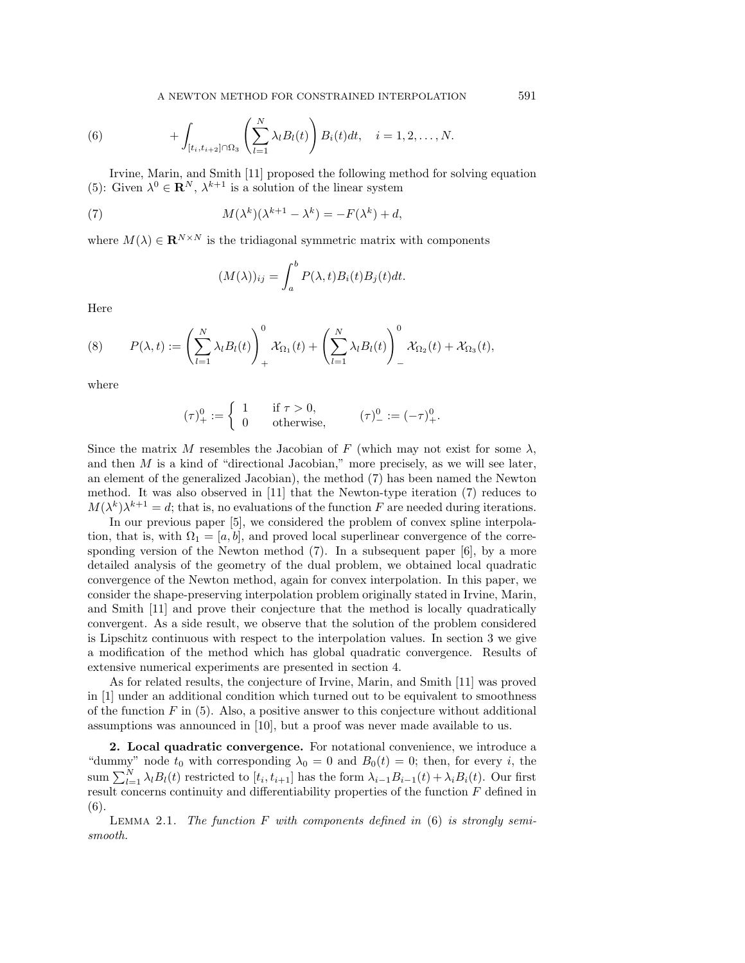A NEWTON METHOD FOR CONSTRAINED INTERPOLATION 591

(6) 
$$
+\int_{[t_i,t_{i+2}]\cap\Omega_3}\left(\sum_{l=1}^N\lambda_lB_l(t)\right)B_i(t)dt, \quad i=1,2,\ldots,N.
$$

Irvine, Marin, and Smith [11] proposed the following method for solving equation (5): Given  $\lambda^0 \in \mathbb{R}^N$ ,  $\lambda^{k+1}$  is a solution of the linear system

(7) 
$$
M(\lambda^k)(\lambda^{k+1} - \lambda^k) = -F(\lambda^k) + d,
$$

where  $M(\lambda) \in \mathbb{R}^{N \times N}$  is the tridiagonal symmetric matrix with components

$$
(M(\lambda))_{ij} = \int_a^b P(\lambda, t) B_i(t) B_j(t) dt.
$$

Here

(8) 
$$
P(\lambda, t) := \left(\sum_{l=1}^N \lambda_l B_l(t)\right)_+^0 \mathcal{X}_{\Omega_1}(t) + \left(\sum_{l=1}^N \lambda_l B_l(t)\right)_-^0 \mathcal{X}_{\Omega_2}(t) + \mathcal{X}_{\Omega_3}(t),
$$

where

$$
(\tau)^0_+ := \begin{cases} 1 & \text{if } \tau > 0, \\ 0 & \text{otherwise,} \end{cases} (\tau)^0_- := (-\tau)^0_+.
$$

Since the matrix M resembles the Jacobian of F (which may not exist for some  $\lambda$ , and then  $M$  is a kind of "directional Jacobian," more precisely, as we will see later, an element of the generalized Jacobian), the method (7) has been named the Newton method. It was also observed in [11] that the Newton-type iteration (7) reduces to  $M(\lambda^k)\lambda^{k+1} = d$ ; that is, no evaluations of the function F are needed during iterations.

In our previous paper [5], we considered the problem of convex spline interpolation, that is, with  $\Omega_1 = [a, b]$ , and proved local superlinear convergence of the corresponding version of the Newton method (7). In a subsequent paper [6], by a more detailed analysis of the geometry of the dual problem, we obtained local quadratic convergence of the Newton method, again for convex interpolation. In this paper, we consider the shape-preserving interpolation problemoriginally stated in Irvine, Marin, and Smith [11] and prove their conjecture that the method is locally quadratically convergent. As a side result, we observe that the solution of the problemconsidered is Lipschitz continuous with respect to the interpolation values. In section 3 we give a modification of the method which has global quadratic convergence. Results of extensive numerical experiments are presented in section 4.

As for related results, the conjecture of Irvine, Marin, and Smith [11] was proved in [1] under an additional condition which turned out to be equivalent to smoothness of the function  $F$  in (5). Also, a positive answer to this conjecture without additional assumptions was announced in [10], but a proof was never made available to us.

**2. Local quadratic convergence.** For notational convenience, we introduce a "dummy" node  $t_0$  with corresponding  $\lambda_0 = 0$  and  $B_0(t) = 0$ ; then, for every i, the sum  $\sum_{l=1}^{N} \lambda_l B_l(t)$  restricted to  $[t_i, t_{i+1}]$  has the form  $\lambda_{i-1}B_{i-1}(t) + \lambda_i B_i(t)$ . Our first result concerns continuity and differentiability properties of the function F defined in (6).

LEMMA 2.1. The function F with components defined in  $(6)$  is strongly semismooth.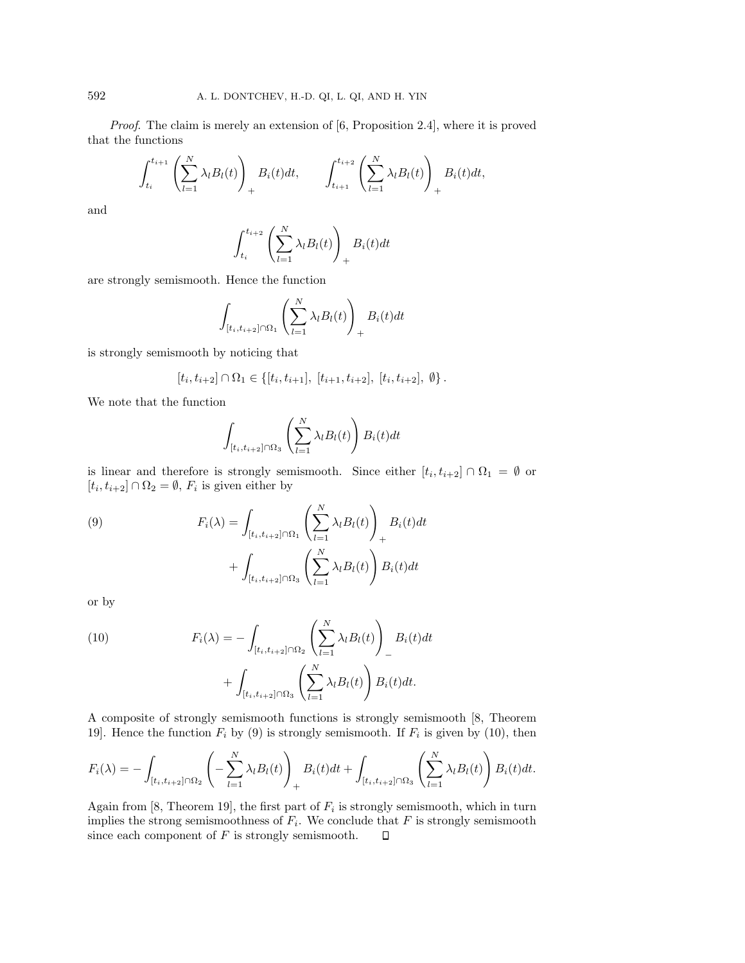Proof. The claim is merely an extension of [6, Proposition 2.4], where it is proved that the functions

$$
\int_{t_i}^{t_{i+1}} \left( \sum_{l=1}^N \lambda_l B_l(t) \right)_+ B_i(t) dt, \qquad \int_{t_{i+1}}^{t_{i+2}} \left( \sum_{l=1}^N \lambda_l B_l(t) \right)_+ B_i(t) dt,
$$

and

$$
\int_{t_i}^{t_{i+2}} \left( \sum_{l=1}^N \lambda_l B_l(t) \right)_+ B_i(t) dt
$$

are strongly semismooth. Hence the function

$$
\int_{[t_i, t_{i+2}]\cap\Omega_1} \left(\sum_{l=1}^N \lambda_l B_l(t)\right)_+ B_i(t)dt
$$

is strongly semismooth by noticing that

$$
[t_i, t_{i+2}] \cap \Omega_1 \in \{[t_i, t_{i+1}], [t_{i+1}, t_{i+2}], [t_i, t_{i+2}], \emptyset\}.
$$

We note that the function

$$
\int_{[t_i, t_{i+2}]\cap\Omega_3} \left(\sum_{l=1}^N \lambda_l B_l(t)\right) B_i(t) dt
$$

is linear and therefore is strongly semismooth. Since either  $[t_i, t_{i+2}] \cap \Omega_1 = \emptyset$  or  $[t_i,t_{i+2}]\cap\Omega_2=\emptyset,$   $F_i$  is given either by

(9) 
$$
F_i(\lambda) = \int_{[t_i, t_{i+2}] \cap \Omega_1} \left( \sum_{l=1}^N \lambda_l B_l(t) \right)_+ B_i(t) dt + \int_{[t_i, t_{i+2}] \cap \Omega_3} \left( \sum_{l=1}^N \lambda_l B_l(t) \right) B_i(t) dt
$$

or by

(10) 
$$
F_i(\lambda) = -\int_{[t_i, t_{i+2}]\cap\Omega_2} \left(\sum_{l=1}^N \lambda_l B_l(t)\right)_- B_i(t)dt + \int_{[t_i, t_{i+2}]\cap\Omega_3} \left(\sum_{l=1}^N \lambda_l B_l(t)\right) B_i(t)dt.
$$

A composite of strongly semismooth functions is strongly semismooth [8, Theorem 19]. Hence the function  $F_i$  by (9) is strongly semismooth. If  $F_i$  is given by (10), then

$$
F_i(\lambda) = -\int_{[t_i, t_{i+2}]\cap\Omega_2} \left( -\sum_{l=1}^N \lambda_l B_l(t) \right)_+ B_i(t)dt + \int_{[t_i, t_{i+2}]\cap\Omega_3} \left( \sum_{l=1}^N \lambda_l B_l(t) \right) B_i(t)dt.
$$

Again from [8, Theorem 19], the first part of  $F_i$  is strongly semismooth, which in turn implies the strong semismoothness of  $F_i$ . We conclude that  $F$  is strongly semismooth since each component of  $F$  is strongly semismooth.  $\Box$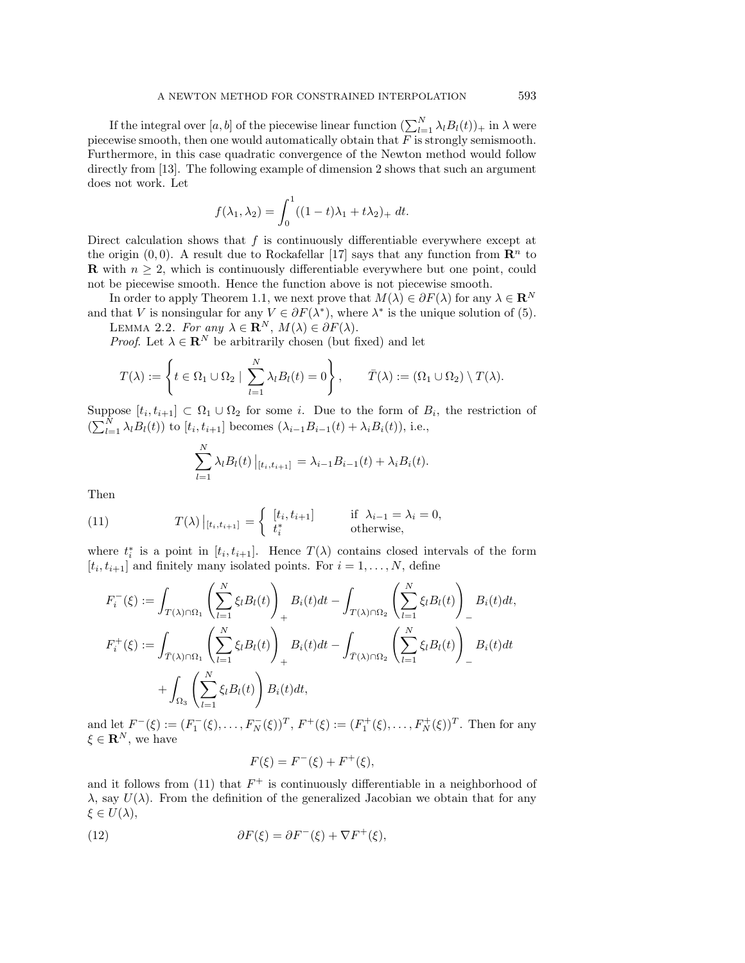If the integral over  $[a, b]$  of the piecewise linear function  $(\sum_{l=1}^{N} \lambda_l B_l(t))_+$  in  $\lambda$  were piecewise smooth, then one would automatically obtain that  $F$  is strongly semismooth. Furthermore, in this case quadratic convergence of the Newton method would follow directly from [13]. The following example of dimension 2 shows that such an argument does not work. Let

$$
f(\lambda_1, \lambda_2) = \int_0^1 ((1-t)\lambda_1 + t\lambda_2)_+ dt.
$$

Direct calculation shows that  $f$  is continuously differentiable everywhere except at the origin  $(0, 0)$ . A result due to Rockafellar [17] says that any function from  $\mathbb{R}^n$  to **R** with  $n \geq 2$ , which is continuously differentiable everywhere but one point, could not be piecewise smooth. Hence the function above is not piecewise smooth.

In order to apply Theorem 1.1, we next prove that  $M(\lambda) \in \partial F(\lambda)$  for any  $\lambda \in \mathbb{R}^N$ and that V is nonsingular for any  $V \in \partial F(\lambda^*)$ , where  $\lambda^*$  is the unique solution of (5). LEMMA 2.2. For any  $\lambda \in \mathbf{R}^N$ ,  $M(\lambda) \in \partial F(\lambda)$ .

*Proof.* Let  $\lambda \in \mathbb{R}^N$  be arbitrarily chosen (but fixed) and let

$$
T(\lambda) := \left\{ t \in \Omega_1 \cup \Omega_2 \mid \sum_{l=1}^N \lambda_l B_l(t) = 0 \right\}, \qquad \bar{T}(\lambda) := (\Omega_1 \cup \Omega_2) \setminus T(\lambda).
$$

Suppose  $[t_i, t_{i+1}] \subset \Omega_1 \cup \Omega_2$  for some i. Due to the form of  $B_i$ , the restriction of  $\left(\sum_{l=1}^{N} \lambda_l B_l(t)\right)$  to  $[t_i, t_{i+1}]$  becomes  $\left(\lambda_{i-1} B_{i-1}(t) + \lambda_i B_i(t)\right)$ , i.e.,

$$
\sum_{l=1}^{N} \lambda_l B_l(t) |_{[t_i, t_{i+1}]} = \lambda_{i-1} B_{i-1}(t) + \lambda_i B_i(t).
$$

Then

(11) 
$$
T(\lambda) |_{[t_i, t_{i+1}]} = \begin{cases} [t_i, t_{i+1}] & \text{if } \lambda_{i-1} = \lambda_i = 0, \\ t_i^* & \text{otherwise,} \end{cases}
$$

where  $t_i^*$  is a point in  $[t_i, t_{i+1}]$ . Hence  $T(\lambda)$  contains closed intervals of the form  $[t_i, t_{i+1}]$  and finitely many isolated points. For  $i = 1, ..., N$ , define

$$
F_i^-(\xi) := \int_{T(\lambda)\cap\Omega_1} \left(\sum_{l=1}^N \xi_l B_l(t)\right)_+ B_i(t)dt - \int_{T(\lambda)\cap\Omega_2} \left(\sum_{l=1}^N \xi_l B_l(t)\right)_- B_i(t)dt,
$$
  

$$
F_i^+(\xi) := \int_{\overline{T}(\lambda)\cap\Omega_1} \left(\sum_{l=1}^N \xi_l B_l(t)\right)_+ B_i(t)dt - \int_{\overline{T}(\lambda)\cap\Omega_2} \left(\sum_{l=1}^N \xi_l B_l(t)\right)_- B_i(t)dt
$$
  

$$
+ \int_{\Omega_3} \left(\sum_{l=1}^N \xi_l B_l(t)\right) B_i(t)dt,
$$

and let  $F^{-}(\xi) := (F_1^{-}(\xi), \ldots, F_N^{-}(\xi))^{T}$ ,  $F^{+}(\xi) := (F_1^{+}(\xi), \ldots, F_N^{+}(\xi))^{T}$ . Then for any  $\xi \in \mathbf{R}^N$ , we have

$$
F(\xi) = F^{-}(\xi) + F^{+}(\xi),
$$

and it follows from (11) that  $F^+$  is continuously differentiable in a neighborhood of  $\lambda$ , say  $U(\lambda)$ . From the definition of the generalized Jacobian we obtain that for any  $\xi \in U(\lambda),$ 

(12) 
$$
\partial F(\xi) = \partial F^{-}(\xi) + \nabla F^{+}(\xi),
$$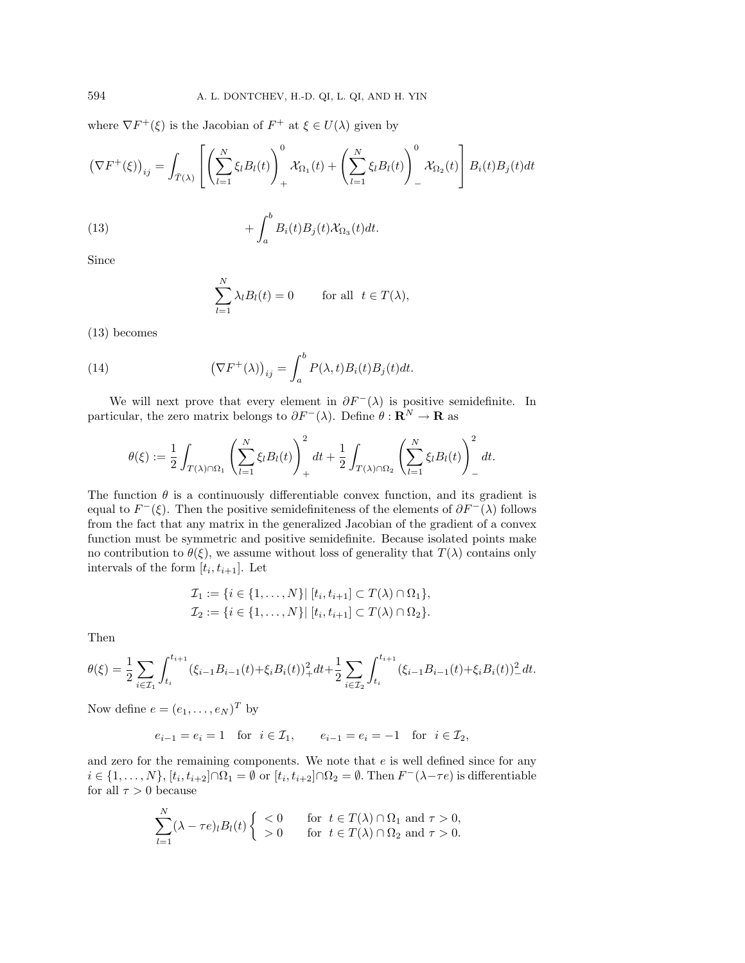where  $\nabla F^+(\xi)$  is the Jacobian of  $F^+$  at  $\xi \in U(\lambda)$  given by

(13)  
\n
$$
(\nabla F^+(\xi))_{ij} = \int_{\bar{T}(\lambda)} \left[ \left( \sum_{l=1}^N \xi_l B_l(t) \right)_+^0 \mathcal{X}_{\Omega_1}(t) + \left( \sum_{l=1}^N \xi_l B_l(t) \right)_-^0 \mathcal{X}_{\Omega_2}(t) \right] B_i(t) B_j(t) dt + \int_a^b B_i(t) B_j(t) \mathcal{X}_{\Omega_3}(t) dt.
$$

Since

$$
\sum_{l=1}^{N} \lambda_l B_l(t) = 0 \quad \text{for all } t \in T(\lambda),
$$

(13) becomes

(14) 
$$
\left(\nabla F^+(\lambda)\right)_{ij} = \int_a^b P(\lambda, t)B_i(t)B_j(t)dt.
$$

We will next prove that every element in  $\partial F^{-}(\lambda)$  is positive semidefinite. In particular, the zero matrix belongs to  $\partial F^{-}(\lambda)$ . Define  $\theta : \mathbf{R}^{N} \to \mathbf{R}$  as

$$
\theta(\xi) := \frac{1}{2} \int_{T(\lambda) \cap \Omega_1} \left( \sum_{l=1}^N \xi_l B_l(t) \right)_+^2 dt + \frac{1}{2} \int_{T(\lambda) \cap \Omega_2} \left( \sum_{l=1}^N \xi_l B_l(t) \right)_-^2 dt.
$$

The function  $\theta$  is a continuously differentiable convex function, and its gradient is equal to  $F^{-}(\xi)$ . Then the positive semidefiniteness of the elements of  $\partial F^{-}(\lambda)$  follows fromthe fact that any matrix in the generalized Jacobian of the gradient of a convex function must be symmetric and positive semidefinite. Because isolated points make no contribution to  $\theta(\xi)$ , we assume without loss of generality that  $T(\lambda)$  contains only intervals of the form  $[t_i, t_{i+1}]$ . Let

$$
\mathcal{I}_1 := \{i \in \{1, ..., N\} | [t_i, t_{i+1}] \subset T(\lambda) \cap \Omega_1 \}, \n\mathcal{I}_2 := \{i \in \{1, ..., N\} | [t_i, t_{i+1}] \subset T(\lambda) \cap \Omega_2 \}.
$$

Then

$$
\theta(\xi) = \frac{1}{2} \sum_{i \in \mathcal{I}_1} \int_{t_i}^{t_{i+1}} (\xi_{i-1} B_{i-1}(t) + \xi_i B_i(t))_+^2 dt + \frac{1}{2} \sum_{i \in \mathcal{I}_2} \int_{t_i}^{t_{i+1}} (\xi_{i-1} B_{i-1}(t) + \xi_i B_i(t))_-^2 dt.
$$

Now define  $e = (e_1, \ldots, e_N)^T$  by

$$
e_{i-1} = e_i = 1
$$
 for  $i \in \mathcal{I}_1$ ,  $e_{i-1} = e_i = -1$  for  $i \in \mathcal{I}_2$ ,

and zero for the remaining components. We note that  $e$  is well defined since for any  $i \in \{1,\ldots,N\}, [t_i,t_{i+2}] \cap \Omega_1 = \emptyset$  or  $[t_i,t_{i+2}] \cap \Omega_2 = \emptyset$ . Then  $F^-(\lambda - \tau e)$  is differentiable for all  $\tau > 0$  because

$$
\sum_{l=1}^{N} (\lambda - \tau e)_l B_l(t) \begin{cases} < 0 & \text{for } t \in T(\lambda) \cap \Omega_1 \text{ and } \tau > 0, \\ > 0 & \text{for } t \in T(\lambda) \cap \Omega_2 \text{ and } \tau > 0. \end{cases}
$$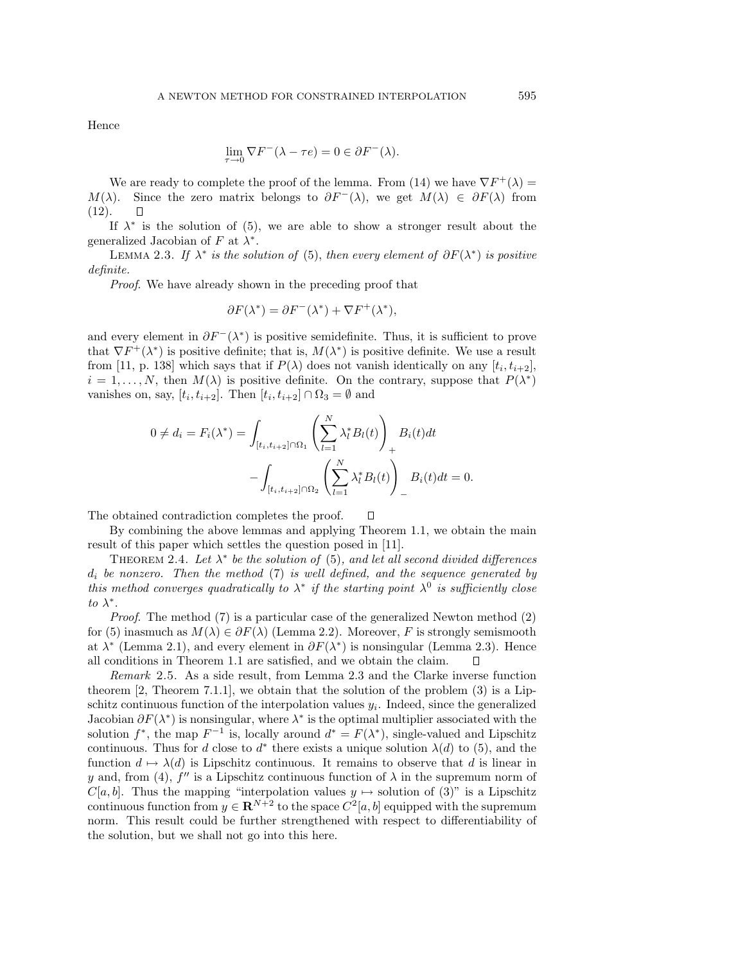Hence

$$
\lim_{\tau \to 0} \nabla F^{-}(\lambda - \tau e) = 0 \in \partial F^{-}(\lambda).
$$

We are ready to complete the proof of the lemma. From (14) we have  $\nabla F^+(\lambda) =$  $M(\lambda)$ . Since the zero matrix belongs to  $\partial F^{-}(\lambda)$ , we get  $M(\lambda) \in \partial F(\lambda)$  from (12).  $\Box$ 

If  $\lambda^*$  is the solution of (5), we are able to show a stronger result about the generalized Jacobian of F at  $\lambda^*$ .

LEMMA 2.3. If  $\lambda^*$  is the solution of (5), then every element of  $\partial F(\lambda^*)$  is positive definite.

Proof. We have already shown in the preceding proof that

$$
\partial F(\lambda^*) = \partial F^-(\lambda^*) + \nabla F^+(\lambda^*),
$$

and every element in  $\partial F^-(\lambda^*)$  is positive semidefinite. Thus, it is sufficient to prove that  $\nabla F^+(\lambda^*)$  is positive definite; that is,  $M(\lambda^*)$  is positive definite. We use a result from [11, p. 138] which says that if  $P(\lambda)$  does not vanish identically on any  $[t_i, t_{i+2}]$ ,  $i = 1, \ldots, N$ , then  $M(\lambda)$  is positive definite. On the contrary, suppose that  $P(\lambda^*)$ vanishes on, say,  $[t_i, t_{i+2}]$ . Then  $[t_i, t_{i+2}] \cap \Omega_3 = \emptyset$  and

$$
0 \neq d_i = F_i(\lambda^*) = \int_{[t_i, t_{i+2}]\cap\Omega_1} \left(\sum_{l=1}^N \lambda_l^* B_l(t)\right)_+ B_i(t)dt - \int_{[t_i, t_{i+2}]\cap\Omega_2} \left(\sum_{l=1}^N \lambda_l^* B_l(t)\right)_- B_i(t)dt = 0.
$$

The obtained contradiction completes the proof. П

By combining the above lemmas and applying Theorem 1.1, we obtain the main result of this paper which settles the question posed in [11].

THEOREM 2.4. Let  $\lambda^*$  be the solution of (5), and let all second divided differences  $d_i$  be nonzero. Then the method (7) is well defined, and the sequence generated by this method converges quadratically to  $\lambda^*$  if the starting point  $\lambda^0$  is sufficiently close to  $\lambda^*$ .

*Proof.* The method  $(7)$  is a particular case of the generalized Newton method  $(2)$ for (5) inasmuch as  $M(\lambda) \in \partial F(\lambda)$  (Lemma 2.2). Moreover, F is strongly semismooth at  $\lambda^*$  (Lemma 2.1), and every element in  $\partial F(\lambda^*)$  is nonsingular (Lemma 2.3). Hence all conditions in Theorem1.1 are satisfied, and we obtain the claim.

Remark 2.5. As a side result, from Lemma 2.3 and the Clarke inverse function theorem [2, Theorem 7.1.1], we obtain that the solution of the problem  $(3)$  is a Lipschitz continuous function of the interpolation values  $y_i$ . Indeed, since the generalized Jacobian  $\partial F(\lambda^*)$  is nonsingular, where  $\lambda^*$  is the optimal multiplier associated with the solution  $f^*$ , the map  $F^{-1}$  is, locally around  $d^* = F(\lambda^*)$ , single-valued and Lipschitz continuous. Thus for d close to  $d^*$  there exists a unique solution  $\lambda(d)$  to (5), and the function  $d \mapsto \lambda(d)$  is Lipschitz continuous. It remains to observe that d is linear in y and, from (4),  $f''$  is a Lipschitz continuous function of  $\lambda$  in the supremum norm of  $C[a, b]$ . Thus the mapping "interpolation values  $y \mapsto$  solution of (3)" is a Lipschitz continuous function from  $y \in \mathbb{R}^{N+2}$  to the space  $C^2[a, b]$  equipped with the supremum norm. This result could be further strengthened with respect to differentiability of the solution, but we shall not go into this here.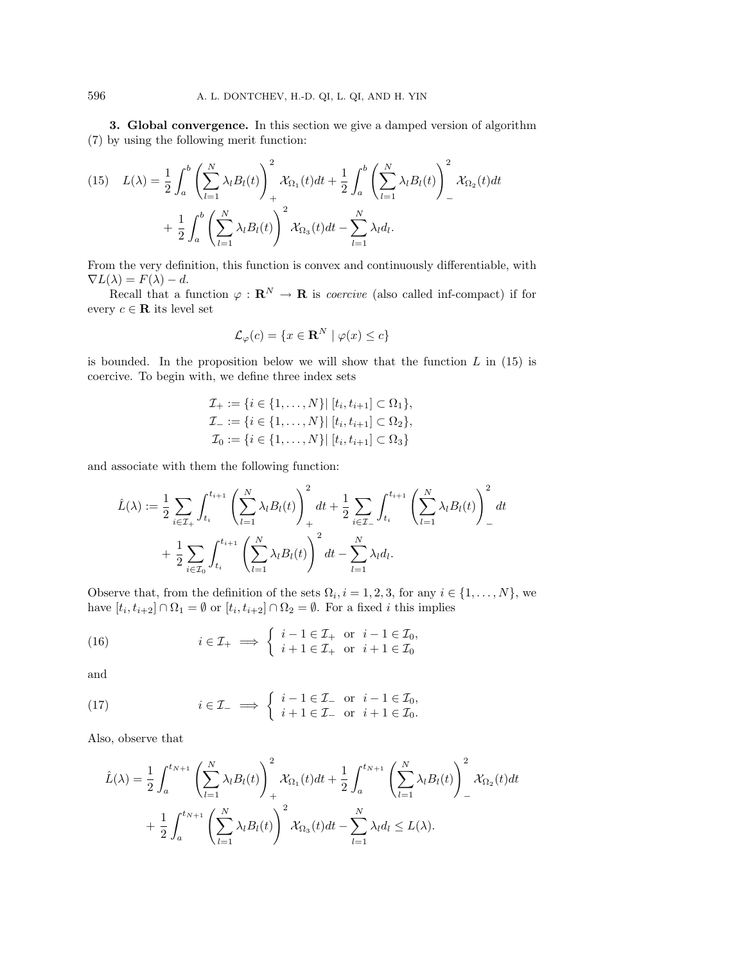**3. Global convergence.** In this section we give a damped version of algorithm (7) by using the following merit function:

(15) 
$$
L(\lambda) = \frac{1}{2} \int_a^b \left( \sum_{l=1}^N \lambda_l B_l(t) \right)_+^2 \mathcal{X}_{\Omega_1}(t) dt + \frac{1}{2} \int_a^b \left( \sum_{l=1}^N \lambda_l B_l(t) \right)_-^2 \mathcal{X}_{\Omega_2}(t) dt + \frac{1}{2} \int_a^b \left( \sum_{l=1}^N \lambda_l B_l(t) \right)_+^2 \mathcal{X}_{\Omega_3}(t) dt - \sum_{l=1}^N \lambda_l d_l.
$$

Fromthe very definition, this function is convex and continuously differentiable, with  $\nabla L(\lambda) = F(\lambda) - d.$ 

Recall that a function  $\varphi : \mathbf{R}^N \to \mathbf{R}$  is *coercive* (also called inf-compact) if for every  $c \in \mathbf{R}$  its level set

$$
\mathcal{L}_{\varphi}(c) = \{ x \in \mathbf{R}^{N} \mid \varphi(x) \le c \}
$$

is bounded. In the proposition below we will show that the function  $L$  in (15) is coercive. To begin with, we define three index sets

$$
\mathcal{I}_{+} := \{i \in \{1, ..., N\} | [t_i, t_{i+1}] \subset \Omega_1\}, \n\mathcal{I}_{-} := \{i \in \{1, ..., N\} | [t_i, t_{i+1}] \subset \Omega_2\}, \n\mathcal{I}_{0} := \{i \in \{1, ..., N\} | [t_i, t_{i+1}] \subset \Omega_3\}
$$

and associate with them the following function:

$$
\hat{L}(\lambda) := \frac{1}{2} \sum_{i \in \mathcal{I}_+} \int_{t_i}^{t_{i+1}} \left( \sum_{l=1}^N \lambda_l B_l(t) \right)_+^2 dt + \frac{1}{2} \sum_{i \in \mathcal{I}_-} \int_{t_i}^{t_{i+1}} \left( \sum_{l=1}^N \lambda_l B_l(t) \right)_-^2 dt + \frac{1}{2} \sum_{i \in \mathcal{I}_0} \int_{t_i}^{t_{i+1}} \left( \sum_{l=1}^N \lambda_l B_l(t) \right)_-^2 dt - \sum_{l=1}^N \lambda_l d_l.
$$

Observe that, from the definition of the sets  $\Omega_i$ ,  $i = 1, 2, 3$ , for any  $i \in \{1, ..., N\}$ , we have  $[t_i, t_{i+2}] \cap \Omega_1 = \emptyset$  or  $[t_i, t_{i+2}] \cap \Omega_2 = \emptyset$ . For a fixed i this implies

(16) 
$$
i \in \mathcal{I}_+ \implies \begin{cases} i - 1 \in \mathcal{I}_+ & \text{or } i - 1 \in \mathcal{I}_0, \\ i + 1 \in \mathcal{I}_+ & \text{or } i + 1 \in \mathcal{I}_0 \end{cases}
$$

and

(17) 
$$
i \in \mathcal{I}_{-} \implies \begin{cases} i - 1 \in \mathcal{I}_{-} & \text{or } i - 1 \in \mathcal{I}_{0}, \\ i + 1 \in \mathcal{I}_{-} & \text{or } i + 1 \in \mathcal{I}_{0}. \end{cases}
$$

Also, observe that

$$
\hat{L}(\lambda) = \frac{1}{2} \int_a^{t_{N+1}} \left( \sum_{l=1}^N \lambda_l B_l(t) \right)_+^2 \mathcal{X}_{\Omega_1}(t) dt + \frac{1}{2} \int_a^{t_{N+1}} \left( \sum_{l=1}^N \lambda_l B_l(t) \right)_-^2 \mathcal{X}_{\Omega_2}(t) dt
$$

$$
+ \frac{1}{2} \int_a^{t_{N+1}} \left( \sum_{l=1}^N \lambda_l B_l(t) \right)_+^2 \mathcal{X}_{\Omega_3}(t) dt - \sum_{l=1}^N \lambda_l d_l \le L(\lambda).
$$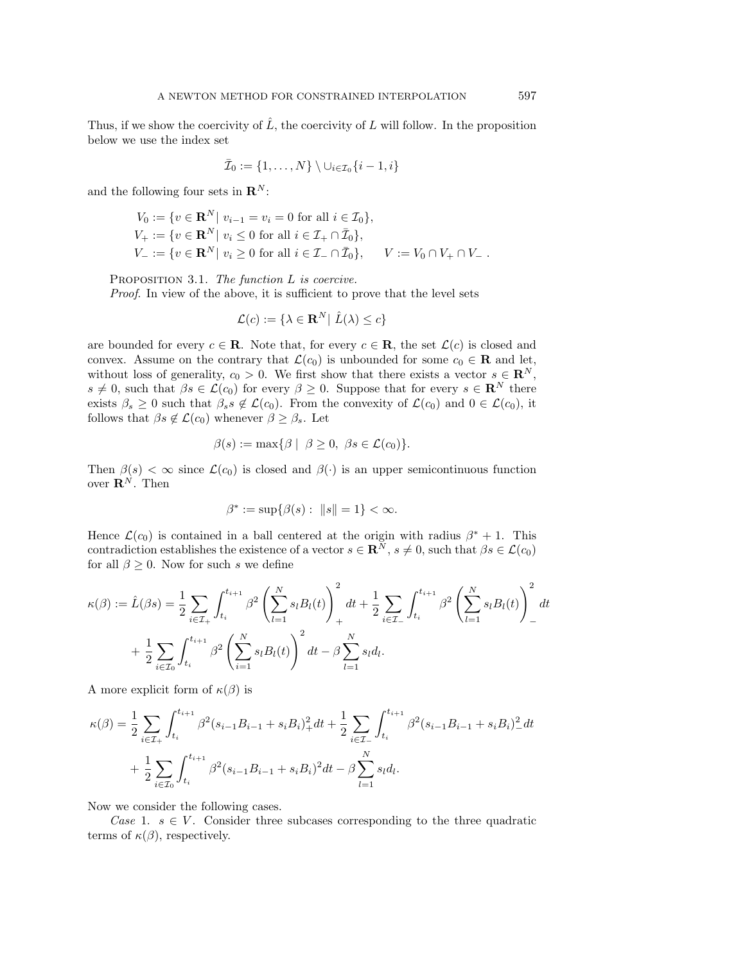Thus, if we show the coercivity of  $\tilde{L}$ , the coercivity of  $L$  will follow. In the proposition below we use the index set

$$
\bar{\mathcal{I}}_0 := \{1, \ldots, N\} \setminus \cup_{i \in \mathcal{I}_0} \{i-1, i\}
$$

and the following four sets in  $\mathbf{R}^{N}$ :

$$
V_0 := \{ v \in \mathbf{R}^N | \ v_{i-1} = v_i = 0 \text{ for all } i \in \mathcal{I}_0 \},
$$
  
\n
$$
V_+ := \{ v \in \mathbf{R}^N | \ v_i \le 0 \text{ for all } i \in \mathcal{I}_+ \cap \bar{\mathcal{I}}_0 \},
$$
  
\n
$$
V_- := \{ v \in \mathbf{R}^N | \ v_i \ge 0 \text{ for all } i \in \mathcal{I}_- \cap \bar{\mathcal{I}}_0 \}, \qquad V := V_0 \cap V_+ \cap V_-.
$$

PROPOSITION 3.1. The function L is coercive.

Proof. In view of the above, it is sufficient to prove that the level sets

$$
\mathcal{L}(c) := \{ \lambda \in \mathbf{R}^N | \ \hat{L}(\lambda) \le c \}
$$

are bounded for every  $c \in \mathbf{R}$ . Note that, for every  $c \in \mathbf{R}$ , the set  $\mathcal{L}(c)$  is closed and convex. Assume on the contrary that  $\mathcal{L}(c_0)$  is unbounded for some  $c_0 \in \mathbf{R}$  and let, without loss of generality,  $c_0 > 0$ . We first show that there exists a vector  $s \in \mathbb{R}^N$ ,  $s \neq 0$ , such that  $\beta s \in \mathcal{L}(c_0)$  for every  $\beta \geq 0$ . Suppose that for every  $s \in \mathbb{R}^N$  there exists  $\beta_s \geq 0$  such that  $\beta_s s \notin \mathcal{L}(c_0)$ . From the convexity of  $\mathcal{L}(c_0)$  and  $0 \in \mathcal{L}(c_0)$ , it follows that  $\beta s \notin \mathcal{L}(c_0)$  whenever  $\beta \geq \beta_s$ . Let

$$
\beta(s) := \max\{\beta \mid \ \beta \ge 0, \ \beta s \in \mathcal{L}(c_0)\}.
$$

Then  $\beta(s) < \infty$  since  $\mathcal{L}(c_0)$  is closed and  $\beta(\cdot)$  is an upper semicontinuous function over  $\mathbf{R}^{N}$ . Then

$$
\beta^* := \sup \{ \beta(s) : ||s|| = 1 \} < \infty.
$$

Hence  $\mathcal{L}(c_0)$  is contained in a ball centered at the origin with radius  $\beta^* + 1$ . This contradiction establishes the existence of a vector  $s \in \mathbb{R}^N$ ,  $s \neq 0$ , such that  $\beta s \in \mathcal{L}(c_0)$ for all  $\beta > 0$ . Now for such s we define

$$
\kappa(\beta) := \hat{L}(\beta s) = \frac{1}{2} \sum_{i \in \mathcal{I}_+} \int_{t_i}^{t_{i+1}} \beta^2 \left( \sum_{l=1}^N s_l B_l(t) \right)_+^2 dt + \frac{1}{2} \sum_{i \in \mathcal{I}_-} \int_{t_i}^{t_{i+1}} \beta^2 \left( \sum_{l=1}^N s_l B_l(t) \right)_-^2 dt + \frac{1}{2} \sum_{i \in \mathcal{I}_0} \int_{t_i}^{t_{i+1}} \beta^2 \left( \sum_{i=1}^N s_i B_l(t) \right)_-^2 dt - \beta \sum_{l=1}^N s_l d_l.
$$

A more explicit form of  $\kappa(\beta)$  is

$$
\kappa(\beta) = \frac{1}{2} \sum_{i \in \mathcal{I}_+} \int_{t_i}^{t_{i+1}} \beta^2 (s_{i-1} B_{i-1} + s_i B_i)_+^2 dt + \frac{1}{2} \sum_{i \in \mathcal{I}_-} \int_{t_i}^{t_{i+1}} \beta^2 (s_{i-1} B_{i-1} + s_i B_i)_-^2 dt
$$
  
+ 
$$
\frac{1}{2} \sum_{i \in \mathcal{I}_0} \int_{t_i}^{t_{i+1}} \beta^2 (s_{i-1} B_{i-1} + s_i B_i)^2 dt - \beta \sum_{l=1}^N s_l d_l.
$$

Now we consider the following cases.

Case 1.  $s \in V$ . Consider three subcases corresponding to the three quadratic terms of  $\kappa(\beta)$ , respectively.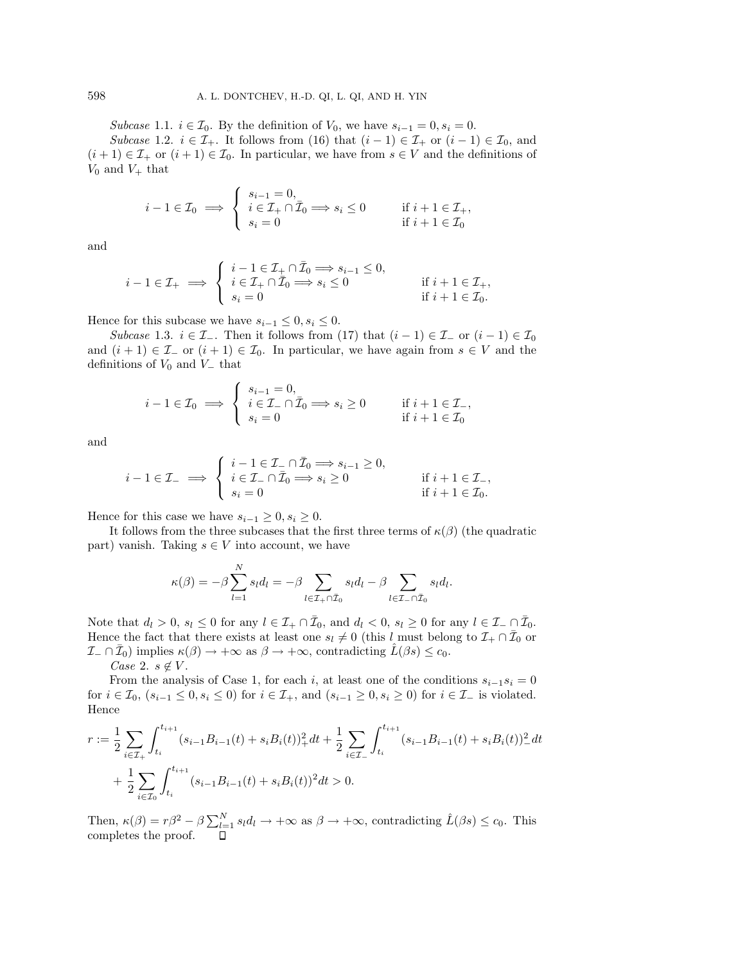Subcase 1.1.  $i \in \mathcal{I}_0$ . By the definition of  $V_0$ , we have  $s_{i-1} = 0$ ,  $s_i = 0$ .

Subcase 1.2.  $i \in \mathcal{I}_+$ . It follows from (16) that  $(i-1) \in \mathcal{I}_+$  or  $(i-1) \in \mathcal{I}_0$ , and  $(i+1) \in \mathcal{I}_+$  or  $(i+1) \in \mathcal{I}_0$ . In particular, we have from  $s \in V$  and the definitions of  $V_0$  and  $V_+$  that

$$
i - 1 \in \mathcal{I}_0 \implies \begin{cases} s_{i-1} = 0, \\ i \in \mathcal{I}_+ \cap \bar{\mathcal{I}}_0 \implies s_i \le 0 \\ s_i = 0 \end{cases} \quad \text{if } i + 1 \in \mathcal{I}_+, \\ \text{if } i + 1 \in \mathcal{I}_0 \end{cases}
$$

and

$$
i-1\in\mathcal{I}_+\implies \left\{\begin{array}{l} i-1\in\mathcal{I}_+\cap\bar{\mathcal{I}}_0\Longrightarrow s_{i-1}\leq 0,\\ i\in\mathcal{I}_+\cap\bar{\mathcal{I}}_0\Longrightarrow s_i\leq 0 \end{array}\right.\qquad\text{if }i+1\in\mathcal{I}_+,\\s_i=0\qquad \qquad \text{if }i+1\in\mathcal{I}_0.
$$

Hence for this subcase we have  $s_{i-1} \leq 0, s_i \leq 0$ .

Subcase 1.3.  $i \in \mathcal{I}_-$ . Then it follows from (17) that  $(i-1) \in \mathcal{I}_-$  or  $(i-1) \in \mathcal{I}_0$ and  $(i + 1) \in \mathcal{I}_-$  or  $(i + 1) \in \mathcal{I}_0$ . In particular, we have again from  $s \in V$  and the definitions of  $V_0$  and  $V_$  that

$$
i - 1 \in \mathcal{I}_0 \implies \begin{cases} s_{i-1} = 0, \\ i \in \mathcal{I}_- \cap \bar{\mathcal{I}}_0 \implies s_i \ge 0 \\ s_i = 0 \end{cases} \quad \text{if } i + 1 \in \mathcal{I}_-,
$$

$$
\text{if } i + 1 \in \mathcal{I}_0
$$

and

$$
i - 1 \in \mathcal{I}_{-} \implies \begin{cases} i - 1 \in \mathcal{I}_{-} \cap \bar{\mathcal{I}}_{0} \Longrightarrow s_{i-1} \geq 0, \\ i \in \mathcal{I}_{-} \cap \bar{\mathcal{I}}_{0} \Longrightarrow s_{i} \geq 0 & \text{if } i + 1 \in \mathcal{I}_{-}, \\ s_{i} = 0 & \text{if } i + 1 \in \mathcal{I}_{0}. \end{cases}
$$

Hence for this case we have  $s_{i-1} \geq 0, s_i \geq 0$ .

It follows from the three subcases that the first three terms of  $\kappa(\beta)$  (the quadratic part) vanish. Taking  $s \in V$  into account, we have

$$
\kappa(\beta) = -\beta \sum_{l=1}^{N} s_l d_l = -\beta \sum_{l \in \mathcal{I}_+ \cap \bar{\mathcal{I}}_0} s_l d_l - \beta \sum_{l \in \mathcal{I}_- \cap \bar{\mathcal{I}}_0} s_l d_l.
$$

Note that  $d_l > 0$ ,  $s_l \leq 0$  for any  $l \in \mathcal{I}_+ \cap \overline{\mathcal{I}}_0$ , and  $d_l < 0$ ,  $s_l \geq 0$  for any  $l \in \mathcal{I}_- \cap \overline{\mathcal{I}}_0$ . Hence the fact that there exists at least one  $s_l \neq 0$  (this l must belong to  $\mathcal{I}_+ \cap \bar{\mathcal{I}}_0$  or  $\mathcal{I}_-\cap \mathcal{I}_0$  implies  $\kappa(\beta) \to +\infty$  as  $\beta \to +\infty$ , contradicting  $L(\beta s) \leq c_0$ .

Case 2.  $s \notin V$ .

From the analysis of Case 1, for each i, at least one of the conditions  $s_{i-1}s_i = 0$ for  $i \in \mathcal{I}_0$ ,  $(s_{i-1} \leq 0, s_i \leq 0)$  for  $i \in \mathcal{I}_+$ , and  $(s_{i-1} \geq 0, s_i \geq 0)$  for  $i \in \mathcal{I}_-$  is violated. Hence

$$
r := \frac{1}{2} \sum_{i \in \mathcal{I}_+} \int_{t_i}^{t_{i+1}} (s_{i-1}B_{i-1}(t) + s_i B_i(t))_+^2 dt + \frac{1}{2} \sum_{i \in \mathcal{I}_-} \int_{t_i}^{t_{i+1}} (s_{i-1}B_{i-1}(t) + s_i B_i(t))_-^2 dt
$$
  
+ 
$$
\frac{1}{2} \sum_{i \in \mathcal{I}_0} \int_{t_i}^{t_{i+1}} (s_{i-1}B_{i-1}(t) + s_i B_i(t))^2 dt > 0.
$$

Then,  $\kappa(\beta) = r\beta^2 - \beta \sum_{l=1}^{N} s_l d_l \rightarrow +\infty$  as  $\beta \rightarrow +\infty$ , contradicting  $\hat{L}(\beta s) \leq c_0$ . This completes the proof.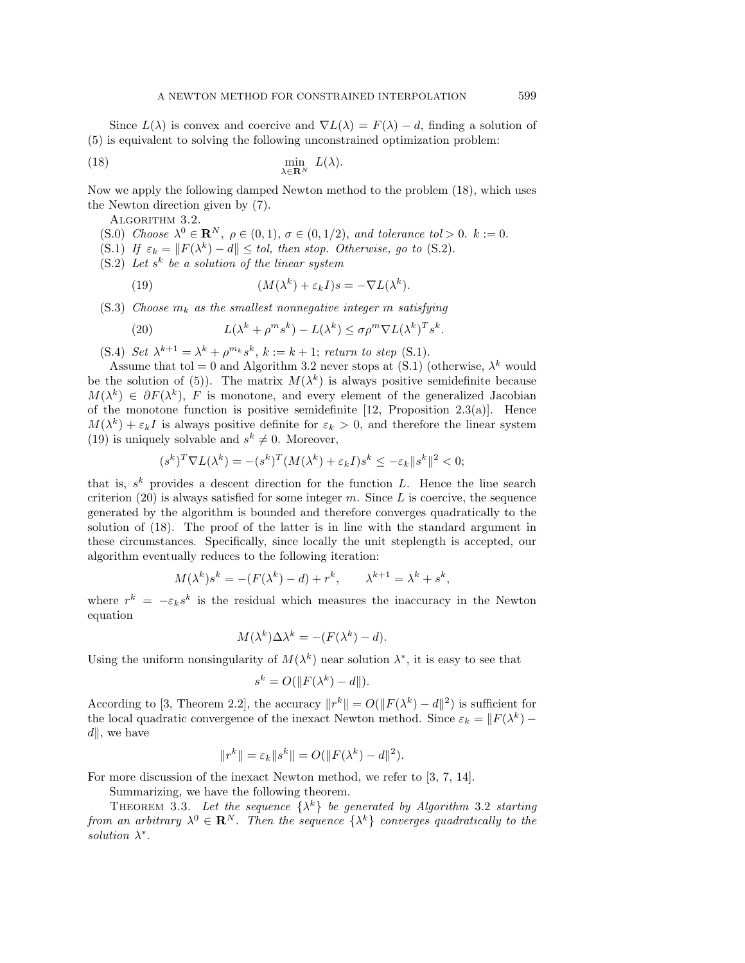Since  $L(\lambda)$  is convex and coercive and  $\nabla L(\lambda) = F(\lambda) - d$ , finding a solution of (5) is equivalent to solving the following unconstrained optimization problem:

(18) 
$$
\min_{\lambda \in \mathbf{R}^N} L(\lambda).
$$

Now we apply the following damped Newton method to the problem (18), which uses the Newton direction given by (7).

ALGORITHM 3.2.

- (S.0) Choose  $\lambda^0 \in \mathbb{R}^N$ ,  $\rho \in (0,1)$ ,  $\sigma \in (0,1/2)$ , and tolerance tol > 0. k := 0.
- (S.1) If  $\varepsilon_k = ||F(\lambda^k) d|| \leq tol$ , then stop. Otherwise, go to (S.2).
- $(S.2)$  Let s<sup>k</sup> be a solution of the linear system

(19) 
$$
(M(\lambda^k) + \varepsilon_k I)s = -\nabla L(\lambda^k).
$$

 $(S.3)$  Choose  $m_k$  as the smallest nonnegative integer m satisfying

(20) 
$$
L(\lambda^k + \rho^m s^k) - L(\lambda^k) \leq \sigma \rho^m \nabla L(\lambda^k)^T s^k.
$$

(S.4) Set  $\lambda^{k+1} = \lambda^k + \rho^{m_k} s^k$ ,  $k := k+1$ ; return to step (S.1).

Assume that tol = 0 and Algorithm 3.2 never stops at (S.1) (otherwise,  $\lambda^k$  would be the solution of (5)). The matrix  $M(\lambda^k)$  is always positive semidefinite because  $M(\lambda^k) \in \partial F(\lambda^k)$ , F is monotone, and every element of the generalized Jacobian of the monotone function is positive semidefinite  $[12,$  Proposition 2.3(a). Hence  $M(\lambda^k) + \varepsilon_k I$  is always positive definite for  $\varepsilon_k > 0$ , and therefore the linear system (19) is uniquely solvable and  $s^k \neq 0$ . Moreover,

$$
(s^k)^T \nabla L(\lambda^k) = -(s^k)^T (M(\lambda^k) + \varepsilon_k I) s^k \le -\varepsilon_k \|s^k\|^2 < 0;
$$

that is,  $s^k$  provides a descent direction for the function L. Hence the line search criterion  $(20)$  is always satisfied for some integer m. Since L is coercive, the sequence generated by the algorithmis bounded and therefore converges quadratically to the solution of (18). The proof of the latter is in line with the standard argument in these circumstances. Specifically, since locally the unit steplength is accepted, our algorithmeventually reduces to the following iteration:

$$
M(\lambda^k)s^k = -(F(\lambda^k) - d) + r^k, \qquad \lambda^{k+1} = \lambda^k + s^k,
$$

where  $r^k = -\varepsilon_k s^k$  is the residual which measures the inaccuracy in the Newton equation

$$
M(\lambda^k)\Delta\lambda^k = -(F(\lambda^k) - d).
$$

Using the uniform nonsingularity of  $M(\lambda^k)$  near solution  $\lambda^*$ , it is easy to see that

$$
s^k = O(||F(\lambda^k) - d||).
$$

According to [3, Theorem 2.2], the accuracy  $||r^k|| = O(||F(\lambda^k) - d||^2)$  is sufficient for the local quadratic convergence of the inexact Newton method. Since  $\varepsilon_k = ||F(\lambda^k) ||, \text{ we have}$ 

$$
||r^k|| = \varepsilon_k ||s^k|| = O(||F(\lambda^k) - d||^2).
$$

For more discussion of the inexact Newton method, we refer to [3, 7, 14].

Summarizing, we have the following theorem.

THEOREM 3.3. Let the sequence  $\{\lambda^k\}$  be generated by Algorithm 3.2 starting from an arbitrary  $\lambda^0 \in \mathbb{R}^N$ . Then the sequence  $\{\lambda^k\}$  converges quadratically to the solution  $\lambda^*$ .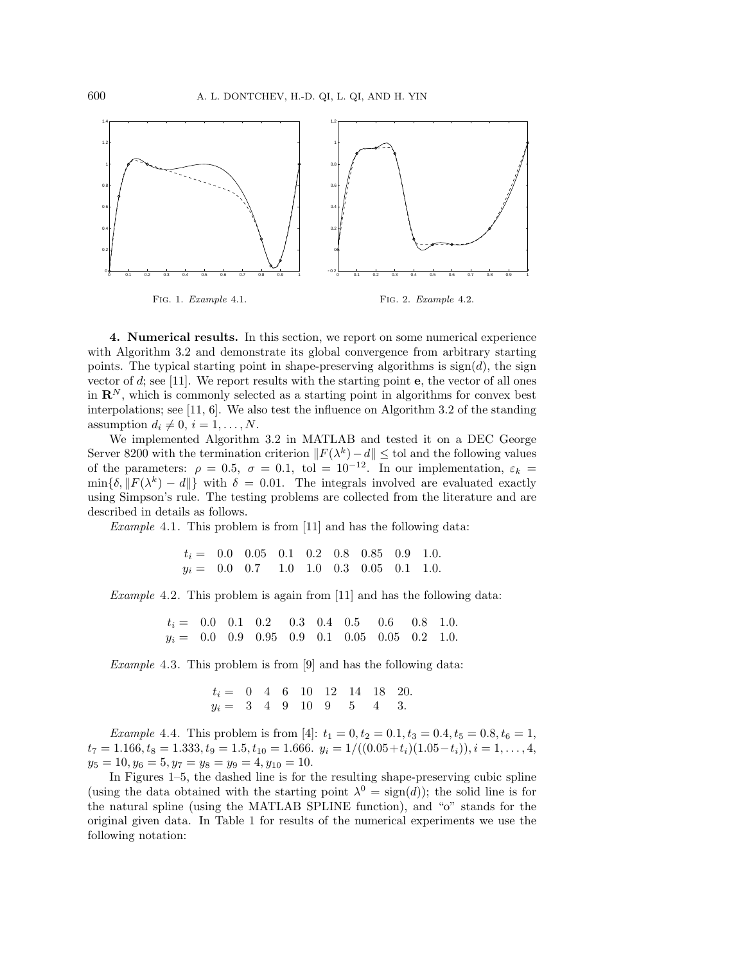

**4. Numerical results.** In this section, we report on some numerical experience with Algorithm 3.2 and demonstrate its global convergence from arbitrary starting points. The typical starting point in shape-preserving algorithms is  $sign(d)$ , the sign vector of d; see [11]. We report results with the starting point **e**, the vector of all ones in  $\mathbb{R}^N$ , which is commonly selected as a starting point in algorithms for convex best interpolations; see [11, 6]. We also test the influence on Algorithm3.2 of the standing assumption  $d_i \neq 0$ ,  $i = 1, \ldots, N$ .

We implemented Algorithm 3.2 in MATLAB and tested it on a DEC George Server 8200 with the termination criterion  $||F(\lambda^k) - d|| \leq$  tol and the following values of the parameters:  $\rho = 0.5$ ,  $\sigma = 0.1$ , tol = 10<sup>-12</sup>. In our implementation,  $\varepsilon_k$  =  $\min{\{\delta, ||F(\lambda^k) - d||\}}$  with  $\delta = 0.01$ . The integrals involved are evaluated exactly using Simpson's rule. The testing problems are collected from the literature and are described in details as follows.

Example 4.1. This problem is from  $[11]$  and has the following data:

$$
\begin{array}{r@{}lllllllllllllllllllllllllll} t_i=&0.0&0.05&0.1&0.2&0.8&0.85&0.9&1.0.\\ y_i=&0.0&0.7&1.0&1.0&0.3&0.05&0.1&1.0. \end{array}
$$

Example 4.2. This problem is again from [11] and has the following data:

$$
\begin{array}{ccccccccc}\nt_i = & 0.0 & 0.1 & 0.2 & 0.3 & 0.4 & 0.5 & 0.6 & 0.8 & 1.0. \\
y_i = & 0.0 & 0.9 & 0.95 & 0.9 & 0.1 & 0.05 & 0.05 & 0.2 & 1.0. \end{array}
$$

Example 4.3. This problem is from [9] and has the following data:

$$
t_i = \begin{array}{cccccc} 0 & 4 & 6 & 10 & 12 & 14 & 18 & 20. \\ y_i = & 3 & 4 & 9 & 10 & 9 & 5 & 4 & 3. \end{array}
$$

*Example* 4.4. This problem is from [4]:  $t_1 = 0, t_2 = 0.1, t_3 = 0.4, t_5 = 0.8, t_6 = 1,$  $t_7 = 1.166, t_8 = 1.333, t_9 = 1.5, t_{10} = 1.666.$   $y_i = 1/((0.05+t_i)(1.05-t_i)), i = 1, \ldots, 4,$  $y_5 = 10, y_6 = 5, y_7 = y_8 = y_9 = 4, y_{10} = 10.$ 

In Figures 1–5, the dashed line is for the resulting shape-preserving cubic spline (using the data obtained with the starting point  $\lambda^0 = \text{sign}(d)$ ); the solid line is for the natural spline (using the MATLAB SPLINE function), and "o" stands for the original given data. In Table 1 for results of the numerical experiments we use the following notation: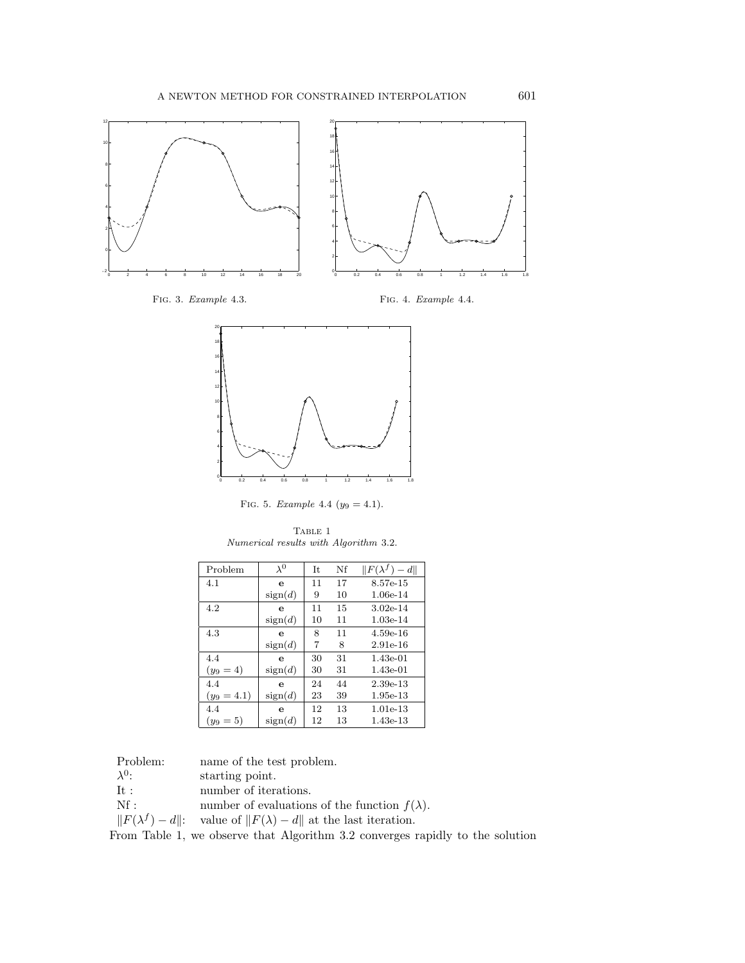

Fig. 3. Example 4.3.

Fig. 4. Example 4.4.



FIG. 5. Example 4.4 ( $y_9 = 4.1$ ).

TABLE 1 Numerical results with Algorithm 3.2.

| Problem       | $\lambda^0$ | It | Nf | $  F(\lambda^f) - d  $ |
|---------------|-------------|----|----|------------------------|
| 4.1           | e           | 11 | 17 | 8.57e-15               |
|               | sign(d)     | 9  | 10 | 1.06e-14               |
| 4.2           | е           | 11 | 15 | $3.02e-14$             |
|               | sign(d)     | 10 | 11 | $1.03e-14$             |
| 4.3           | е           | 8  | 11 | $4.59e-16$             |
|               | sign(d)     | 7  | 8  | $2.91e-16$             |
| 4.4           | е           | 30 | 31 | $1.43e-01$             |
| $(y_9 = 4)$   | sign(d)     | 30 | 31 | 1.43e-01               |
| 4.4           | е           | 24 | 44 | 2.39e-13               |
| $(y_9 = 4.1)$ | sign(d)     | 23 | 39 | $1.95e-13$             |
| 4.4           | е           | 12 | 13 | $1.01e-13$             |
| $(y_9=5)$     | sign(d)     | 12 | 13 | $1.43e-13$             |

Problem: name of the test problem.<br> $\lambda^0$ : starting point.

- $\lambda^0$ : starting point.<br>It: number of itera
- It : number of iterations.<br>Nf : number of evaluations
- number of evaluations of the function  $f(\lambda)$ .
- $||F(\lambda^f) d||$ : value of  $||F(\lambda) d||$  at the last iteration.

FromTable 1, we observe that Algorithm3.2 converges rapidly to the solution